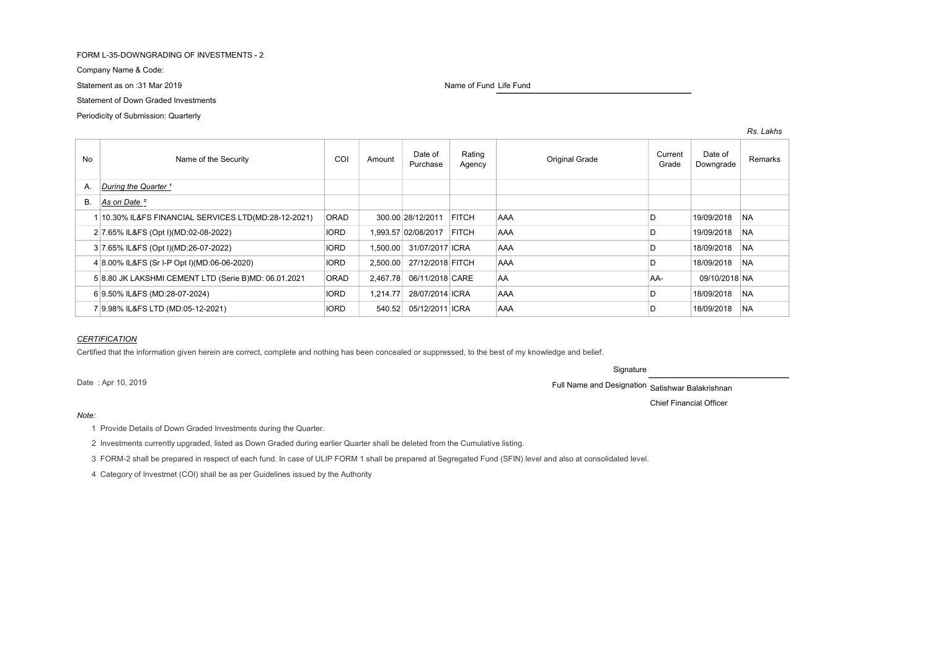# FORM L-35-DOWNGRADING OF INVESTMENTS - 2

Company Name & Code:

Statement as on :31 Mar 2019 Name of Fund Life Fund Life Fund Life Fund Life Fund

Statement of Down Graded Investments

Periodicity of Submission: Quarterly

| <b>No</b> | Name of the Security                                 | COI         | Amount   | Date of<br>Purchase | Rating<br>Agency | Original Grade | Current<br>Grade | Date of<br>Downgrade | Remarks   |
|-----------|------------------------------------------------------|-------------|----------|---------------------|------------------|----------------|------------------|----------------------|-----------|
| A.        | During the Quarter <sup>1</sup>                      |             |          |                     |                  |                |                  |                      |           |
| <b>B.</b> | As on Date <sup>2</sup>                              |             |          |                     |                  |                |                  |                      |           |
|           | 10.30% IL&FS FINANCIAL SERVICES LTD(MD:28-12-2021)   | <b>ORAD</b> |          | 300.00 28/12/2011   | <b>FITCH</b>     | <b>AAA</b>     | D                | 19/09/2018           | <b>NA</b> |
|           | 2 7.65% IL&FS (Opt I)(MD:02-08-2022)                 | <b>IORD</b> |          | 1.993.57 02/08/2017 | FITCH            | <b>AAA</b>     | D                | 19/09/2018           | <b>NA</b> |
|           | 3 7.65% IL&FS (Opt I)(MD:26-07-2022)                 | <b>IORD</b> | 1.500.00 | 31/07/2017 ICRA     |                  | <b>AAA</b>     | D                | 18/09/2018           | <b>NA</b> |
|           | 4 8.00% IL&FS (Sr I-P Opt I)(MD:06-06-2020)          | <b>IORD</b> | 2.500.00 | 27/12/2018 FITCH    |                  | <b>AAA</b>     |                  | 18/09/2018           | <b>NA</b> |
|           | 5 8.80 JK LAKSHMI CEMENT LTD (Serie B)MD: 06.01.2021 | <b>ORAD</b> | 2.467.78 | 06/11/2018 CARE     |                  | AA             | AA-              | 09/10/2018 NA        |           |
|           | 6 9.50% IL&FS (MD:28-07-2024)                        | <b>IORD</b> | 1.214.77 | 28/07/2014 ICRA     |                  | <b>AAA</b>     | D                | 18/09/2018           | <b>NA</b> |
|           | 9.98% IL&FS LTD (MD:05-12-2021)                      | <b>IORD</b> | 540.52   | 05/12/2011 ICRA     |                  | <b>AAA</b>     |                  | 18/09/2018           | <b>NA</b> |

# **CERTIFICATION**

Certified that the information given herein are correct, complete and nothing has been concealed or suppressed, to the best of my knowledge and belief.

**Signature** 

Date : Apr 10, 2019 **Satishwar Balakrishnan** 

Chief Financial Officer

# Note:

1 Provide Details of Down Graded Investments during the Quarter.

2 Investments currently upgraded, listed as Down Graded during earlier Quarter shall be deleted from the Cumulative listing.

3 FORM-2 shall be prepared in respect of each fund. In case of ULIP FORM 1 shall be prepared at Segregated Fund (SFIN) level and also at consolidated level.

4 Category of Investmet (COI) shall be as per Guidelines issued by the Authority

#### Rs. Lakhs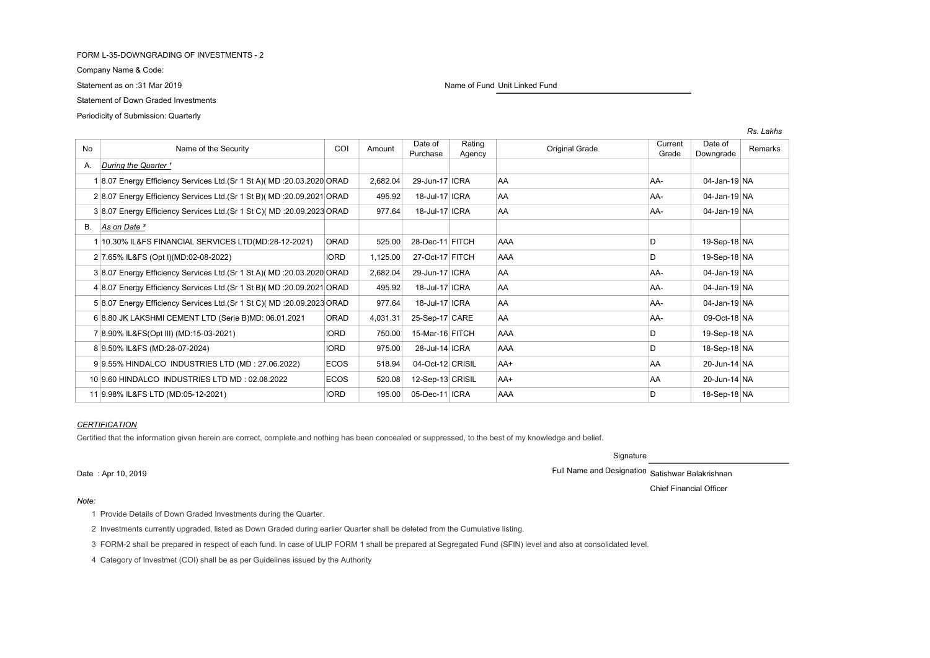# FORM L-35-DOWNGRADING OF INVESTMENTS - 2

Company Name & Code:

Statement of Down Graded Investments

Periodicity of Submission: Quarterly

Statement as on :31 Mar 2019 Name of Fund Unit Linked Fund Unit Linked Fund Unit Linked Fund

| No | Name of the Security                                                     | COI         | Amount   | Date of<br>Purchase | Rating<br>Agency | <b>Original Grade</b> | Current<br>Grade | Date of<br>Downgrade | Remarks |
|----|--------------------------------------------------------------------------|-------------|----------|---------------------|------------------|-----------------------|------------------|----------------------|---------|
| А. | During the Quarter <sup>1</sup>                                          |             |          |                     |                  |                       |                  |                      |         |
|    | 8.07 Energy Efficiency Services Ltd. (Sr 1 St A) (MD : 20.03.2020 ORAD   |             | 2,682.04 | 29-Jun-17 ICRA      |                  | <b>AA</b>             | AA-              | 04-Jan-19 NA         |         |
|    | 2 8.07 Energy Efficiency Services Ltd. (Sr 1 St B) (MD : 20.09.2021 ORAD |             | 495.92   | 18-Jul-17 ICRA      |                  | AA                    | AA-              | 04-Jan-19 NA         |         |
|    | 3 8.07 Energy Efficiency Services Ltd. (Sr 1 St C) (MD : 20.09.2023 ORAD |             | 977.64   | 18-Jul-17 ICRA      |                  | AA                    | AA-              | 04-Jan-19 NA         |         |
| В. | As on Date <sup>2</sup>                                                  |             |          |                     |                  |                       |                  |                      |         |
|    | 10.30% IL&FS FINANCIAL SERVICES LTD(MD:28-12-2021)                       | ORAD        | 525.00   | 28-Dec-11 FITCH     |                  | AAA                   | D                | 19-Sep-18 NA         |         |
|    | 2 7.65% IL&FS (Opt I)(MD:02-08-2022)                                     | <b>IORD</b> | 1,125.00 | 27-Oct-17 FITCH     |                  | <b>AAA</b>            | D                | 19-Sep-18 NA         |         |
|    | 3 8.07 Energy Efficiency Services Ltd. (Sr 1 St A) (MD : 20.03.2020 ORAD |             | 2,682.04 | 29-Jun-17 ICRA      |                  | AA.                   | AA-              | 04-Jan-19 NA         |         |
|    | 4 8.07 Energy Efficiency Services Ltd. (Sr 1 St B) (MD : 20.09.2021 ORAD |             | 495.92   | 18-Jul-17 ICRA      |                  | AA                    | AA-              | 04-Jan-19 NA         |         |
|    | 5 8.07 Energy Efficiency Services Ltd. (Sr 1 St C) (MD : 20.09.2023 ORAD |             | 977.64   | 18-Jul-17 ICRA      |                  | AA                    | AA-              | 04-Jan-19 NA         |         |
|    | 6 8.80 JK LAKSHMI CEMENT LTD (Serie B)MD: 06.01.2021                     | ORAD        | 4,031.31 | 25-Sep-17 CARE      |                  | AA                    | AA-              | 09-Oct-18 NA         |         |
|    | 7 8.90% IL&FS(Opt III) (MD:15-03-2021)                                   | <b>IORD</b> | 750.00   | 15-Mar-16 FITCH     |                  | AAA                   | D                | 19-Sep-18 NA         |         |
|    | 8 9.50% IL&FS (MD:28-07-2024)                                            | <b>IORD</b> | 975.00   | 28-Jul-14 ICRA      |                  | <b>AAA</b>            | D                | 18-Sep-18 NA         |         |
|    | 99.55% HINDALCO INDUSTRIES LTD (MD: 27.06.2022)                          | <b>ECOS</b> | 518.94   | 04-Oct-12 CRISIL    |                  | AA+                   | <b>AA</b>        | 20-Jun-14 NA         |         |
|    | 10 9.60 HINDALCO INDUSTRIES LTD MD : 02.08.2022                          | ECOS        | 520.08   | 12-Sep-13 CRISIL    |                  | AA+                   | <b>AA</b>        | 20-Jun-14 NA         |         |
|    | 11 9.98% IL&FS LTD (MD:05-12-2021)                                       | <b>IORD</b> | 195.00   | 05-Dec-11 ICRA      |                  | AAA                   | D                | 18-Sep-18 NA         |         |

## **CERTIFICATION**

Certified that the information given herein are correct, complete and nothing has been concealed or suppressed, to the best of my knowledge and belief.

Signature

Date : Apr 10, 2019 Full Name and Designation Satishwar Balakrishnan

Chief Financial Officer

Rs. Lakhs

#### Note:

1 Provide Details of Down Graded Investments during the Quarter.

2 Investments currently upgraded, listed as Down Graded during earlier Quarter shall be deleted from the Cumulative listing.

3 FORM-2 shall be prepared in respect of each fund. In case of ULIP FORM 1 shall be prepared at Segregated Fund (SFIN) level and also at consolidated level.

4 Category of Investmet (COI) shall be as per Guidelines issued by the Authority